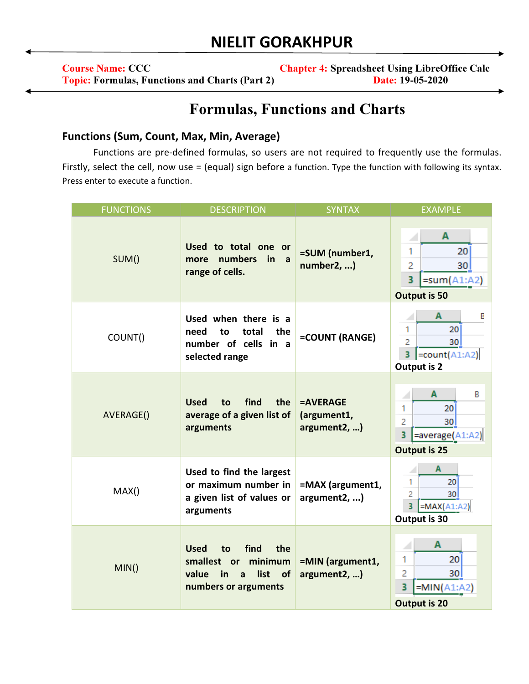## NIELIT GORAKHPUR

| <b>Course Name: CCC</b>                               | <b>Chapter 4: Spreadsheet Using LibreOffice Calc</b> |
|-------------------------------------------------------|------------------------------------------------------|
| <b>Topic: Formulas, Functions and Charts (Part 2)</b> | <b>Date: 19-05-2020</b>                              |

## Formulas, Functions and Charts

## Functions (Sum, Count, Max, Min, Average)

Functions are pre-defined formulas, so users are not required to frequently use the formulas. Firstly, select the cell, now use = (equal) sign before a function. Type the function with following its syntax. Press enter to execute a function.

| <b>FUNCTIONS</b> | <b>DESCRIPTION</b>                                                                                                              | <b>SYNTAX</b>                           | <b>EXAMPLE</b>                                                                                                                   |
|------------------|---------------------------------------------------------------------------------------------------------------------------------|-----------------------------------------|----------------------------------------------------------------------------------------------------------------------------------|
| SUM()            | Used to total one or<br>numbers<br>in<br>more<br>a a<br>range of cells.                                                         | =SUM (number1,<br>number2, )            | A<br>1<br>20 <sup>1</sup><br>2<br>30 <sub>1</sub><br>3<br>$=sum(A1:A2)$<br><b>Output is 50</b>                                   |
| COUNT()          | Used when there is a<br>total<br>the<br>need<br>to<br>number of cells in a<br>selected range                                    | =COUNT (RANGE)                          | $\overline{A}$<br>E<br>20 <sup>1</sup><br>1.<br>$\overline{2}$<br>30 <sup>1</sup><br>$\vert$ =count(A1:A2)<br><b>Output is 2</b> |
| AVERAGE()        | find<br>the<br><b>Used</b><br>to<br>average of a given list of<br>arguments                                                     | =AVERAGE<br>(argument1,<br>argument2, ) | $\mathbf{A}$<br>B<br>20<br>1<br>$\overline{2}$<br>30<br>3<br>=average(A1:A2)<br><b>Output is 25</b>                              |
| MAX()            | Used to find the largest<br>or maximum number in<br>a given list of values or<br>arguments                                      | =MAX (argument1,<br>argument2, )        | A<br>1<br>20<br>$\overline{a}$<br>30 <sup>1</sup><br>3<br>$=MAX(A1:A2)$<br>Output is 30                                          |
| MIN()            | <b>Used</b><br>find<br>the<br>to<br>minimum<br>smallest or<br>value<br>list<br>of<br>in<br>$\mathbf{a}$<br>numbers or arguments | =MIN (argument1,<br>argument2, )        | A<br>20<br>1<br>2<br>30 <sup>1</sup><br>3<br>$=MIN(A1:A2)$<br><b>Output is 20</b>                                                |